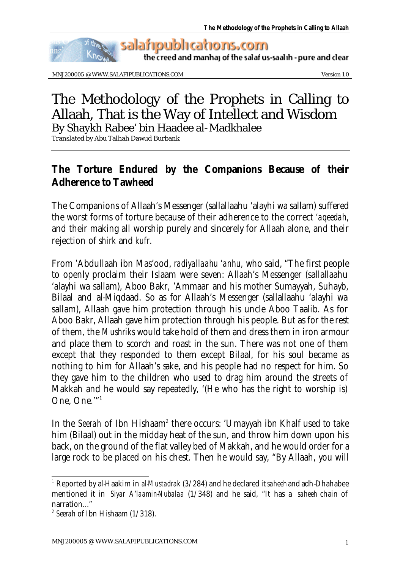

the creed and manhaj of the salaf us-saalih - pure and clear

MNJ200005 @ WWW.SALAFIPUBLICATIONS.COM Version 1.0

# The Methodology of the Prophets in Calling to Allaah, That is the Way of Intellect and Wisdom By Shaykh Rabee' bin Haadee al-Madkhalee

Translated by Abu Talhah Dawud Burbank

## **The Torture Endured by the Companions Because of their Adherence to** *Tawheed*

The Companions of Allaah's Messenger (sallallaahu 'alayhi wa sallam) suffered the worst forms of torture because of their adherence to the correct *'aqeedah,*  and their making all worship purely and sincerely for Allaah alone, and their rejection of *shirk* and *kufr*.

From 'Abdullaah ibn Mas'ood, *radiyallaahu 'anhu,* who said, "The first people to openly proclaim their Islaam were seven: Allaah's Messenger (sallallaahu 'alayhi wa sallam), Aboo Bakr, 'Ammaar and his mother Sumayyah, Suhayb, Bilaal and al-Miqdaad. So as for Allaah's Messenger (sallallaahu 'alayhi wa sallam), Allaah gave him protection through his uncle Aboo Taalib. As for Aboo Bakr, Allaah gave him protection through his people. But as for the rest of them, the *Mushriks* would take hold of them and dress them in iron armour and place them to scorch and roast in the sun. There was not one of them except that they responded to them except Bilaal, for his soul became as nothing to him for Allaah's sake, and his people had no respect for him. So they gave him to the children who used to drag him around the streets of Makkah and he would say repeatedly, '(He who has the right to worship is) One, One.'"<sup>1</sup>

In the *Seerah* of Ibn Hishaam<sup>2</sup> there occurs: 'Umayyah ibn Khalf used to take him (Bilaal) out in the midday heat of the sun, and throw him down upon his back, on the ground of the flat valley bed of Makkah, and he would order for a large rock to be placed on his chest. Then he would say, "By Allaah, you will

l 1 Reported by al-Haakim in *al-Mustadrak* (3/284) and he declared it *saheeh* and adh-Dhahabee mentioned it in *Siyar A'laamin-Nubalaa* (1/348) and he said, "It has a *saheeh* chain of narration..."

<sup>2</sup> *Seerah* of Ibn Hishaam (1/318).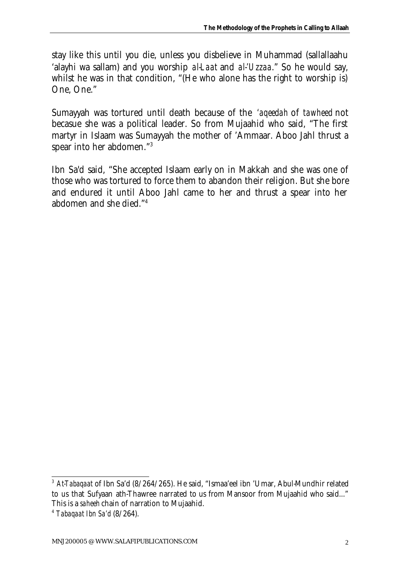stay like this until you die, unless you disbelieve in Muhammad (sallallaahu 'alayhi wa sallam) and you worship *al-Laat* and *al-'Uzzaa*." So he would say, whilst he was in that condition, "(He who alone has the right to worship is) One, One."

Sumayyah was tortured until death because of the *'aqeedah* of *tawheed* not becasue she was a political leader. So from Mujaahid who said, "The first martyr in Islaam was Sumayyah the mother of 'Ammaar. Aboo Jahl thrust a spear into her abdomen."<sup>3</sup>

Ibn Sa'd said, "She accepted Islaam early on in Makkah and she was one of those who was tortured to force them to abandon their religion. But she bore and endured it until Aboo Jahl came to her and thrust a spear into her abdomen and she died."<sup>4</sup>

<sup>3</sup> *At-Tabaqaat* of Ibn Sa'd (8/264/265). He said, "Ismaa'eel ibn 'Umar, Abul-Mundhir related to us that Sufyaan ath-Thawree narrated to us from Mansoor from Mujaahid who said..." This is a *saheeh* chain of narration to Mujaahid.

<sup>4</sup> *Tabaqaat Ibn Sa'd* (8/264).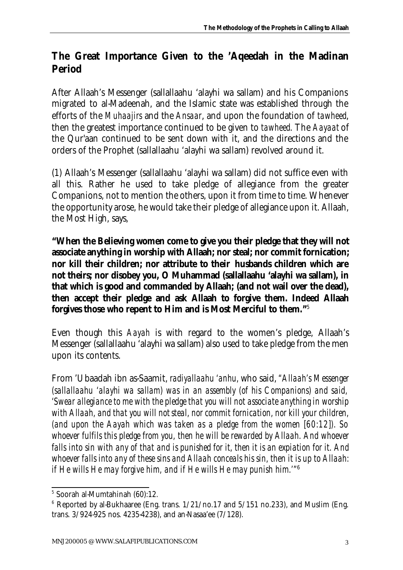## **The Great Importance Given to the** *'Aqeedah* **in the Madinan Period**

After Allaah's Messenger (sallallaahu 'alayhi wa sallam) and his Companions migrated to al-Madeenah, and the Islamic state was established through the efforts of the *Muhaajirs* and the *Ansaar*, and upon the foundation of *tawheed*, then the greatest importance continued to be given to *tawheed*. The *Aayaat* of the Qur'aan continued to be sent down with it, and the directions and the orders of the Prophet (sallallaahu 'alayhi wa sallam) revolved around it.

(1) Allaah's Messenger (sallallaahu 'alayhi wa sallam) did not suffice even with all this. Rather he used to take pledge of allegiance from the greater Companions, not to mention the others, upon it from time to time. Whenever the opportunity arose, he would take their pledge of allegiance upon it. Allaah, the Most High, says,

**"When the Believing women come to give you their pledge that they will not associate anything in worship with Allaah; nor steal; nor commit fornication; nor kill their children; nor attribute to their husbands children which are not theirs; nor disobey you, O Muhammad (sallallaahu 'alayhi wa sallam), in that which is good and commanded by Allaah; (and not wail over the dead), then accept their pledge and ask Allaah to forgive them. Indeed Allaah forgives those who repent to Him and is Most Merciful to them."**<sup>5</sup>

Even though this *Aayah* is with regard to the women's pledge, Allaah's Messenger (sallallaahu 'alayhi wa sallam) also used to take pledge from the men upon its contents.

From 'Ubaadah ibn as-Saamit, *radiyallaahu 'anhu,* who said, *"Allaah's Messenger (sallallaahu 'alayhi wa sallam) was in an assembly (of his Companions) and said, 'Swear allegiance to me with the pledge that you will not associate anything in worship with Allaah, and that you will not steal, nor commit fornication, nor kill your children, (and upon the Aayah which was taken as a pledge from the women [60:12]). So whoever fulfils this pledge from you, then he will be rewarded by Allaah. And whoever falls into sin with any of that and is punished for it, then it is an expiation for it. And whoever falls into any of these sins and Allaah conceals his sin, then it is up to Allaah: if He wills He may forgive him, and if He wills He may punish him.'"*<sup>6</sup>

<sup>5</sup> Soorah al-Mumtahinah (60):12.

 $6$  Reported by al-Bukhaaree (Eng. trans.  $1/21$ /no.17 and  $5/151$  no.233), and Muslim (Eng. trans. 3/924-925 nos. 4235-4238), and an-Nasaa'ee (7/128).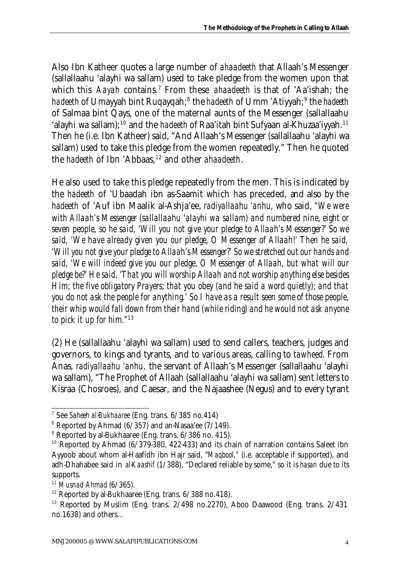Also Ibn Katheer quotes a large number of *ahaadeeth* that Allaah's Messenger (sallallaahu 'alayhi wa sallam) used to take pledge from the women upon that which this *Aayah* contains.<sup>7</sup> From these *ahaadeeth* is that of 'Aa'ishah; the *hadeeth* of Umayyah bint Ruqayqah;<sup>8</sup> the *hadeeth* of Umm 'Atiyyah;<sup>9</sup> the *hadeeth* of Salmaa bint Qays, one of the maternal aunts of the Messenger (sallallaahu 'alayhi wa sallam);<sup>10</sup> and the *hadeeth* of Raa'itah bint Sufyaan al-Khuzaa'iyyah.<sup>11</sup> Then he (i.e. Ibn Katheer) said, "And Allaah's Messenger (sallallaahu 'alayhi wa sallam) used to take this pledge from the women repeatedly." Then he quoted the *hadeeth* of Ibn 'Abbaas,<sup>12</sup> and other *ahaadeeth*.

He also used to take this pledge repeatedly from the men. This is indicated by the *hadeeth* of 'Ubaadah ibn as-Saamit which has preceded, and also by the *hadeeth* of 'Auf ibn Maalik al-Ashja'ee, *radiyallaahu 'anhu,* who said, *"We were with Allaah's Messenger (sallallaahu 'alayhi wa sallam) and numbered nine, eight or seven people, so he said, 'Will you not give your pledge to Allaah's Messenger?' So we said, 'We have already given you our pledge, O Messenger of Allaah!' Then he said, 'Will you not give your pledge to Allaah's Messenger?' So we stretched out our hands and said, 'We will indeed give you our pledge, O Messenger of Allaah, but what will our pledge be?' He said, 'That you will worship Allaah and not worship anything else besides Him; the five obligatory Prayers; that you obey (and he said a word quietly); and that you do not ask the people for anything.' So I have as a result seen some of those people, their whip would fall down from their hand (while riding) and he would not ask anyone to pick it up for him."*<sup>13</sup>

(2) He (sallallaahu 'alayhi wa sallam) used to send callers, teachers, judges and governors, to kings and tyrants, and to various areas, calling to *tawheed*. From Anas, *radiyallaahu 'anhu,* the servant of Allaah's Messenger (sallallaahu 'alayhi wa sallam), "The Prophet of Allaah (sallallaahu 'alayhi wa sallam) sent letters to Kisraa (Chosroes), and Caesar, and the Najaashee (Negus) and to every tyrant

 7 See *Saheeh al-Bukhaaree* (Eng. trans. 6/385 no.414)

 $8$  Reported by Ahmad (6/357) and an-Nasaa'ee (7/149).

<sup>&</sup>lt;sup>9</sup> Reported by al-Bukhaaree (Eng. trans. 6/386 no. 415).

<sup>&</sup>lt;sup>10</sup> Reported by Ahmad (6/379-380, 422-433) and its chain of narration contains Saleet ibn Ayyoob about whom al-Haafidh ibn Hajr said, "*Maqbool,"* (i.e. acceptable if supported), and adh-Dhahabee said in *al-Kaashif* (1/388), "Declared reliable by some," so it is *hasan* due to its supports.

<sup>11</sup> *Musnad Ahmad* (6/365).

 $12$  Reported by al-Bukhaaree (Eng. trans.  $6/388$  no. 418).

 $13$  Reported by Muslim (Eng. trans.  $2/498$  no.2270), Aboo Daawood (Eng. trans.  $2/431$ no.1638) and others...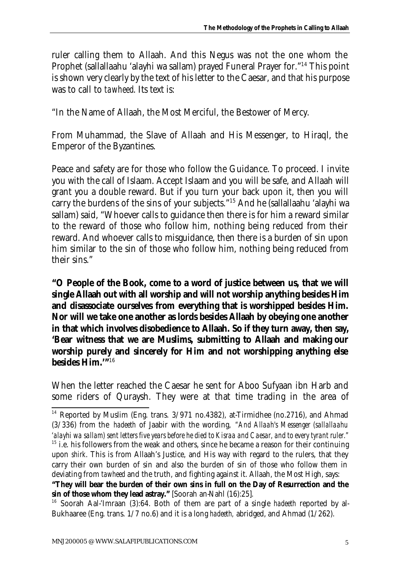ruler calling them to Allaah. And this Negus was not the one whom the Prophet (sallallaahu 'alayhi wa sallam) prayed Funeral Prayer for."<sup>14</sup> This point is shown very clearly by the text of his letter to the Caesar, and that his purpose was to call to *tawheed*. Its text is:

"In the Name of Allaah, the Most Merciful, the Bestower of Mercy.

From Muhammad, the Slave of Allaah and His Messenger, to Hiraql, the Emperor of the Byzantines.

Peace and safety are for those who follow the Guidance. To proceed. I invite you with the call of Islaam. Accept Islaam and you will be safe, and Allaah will grant you a double reward. But if you turn your back upon it, then you will carry the burdens of the sins of your subjects."<sup>15</sup> And he (sallallaahu 'alayhi wa sallam) said, "Whoever calls to guidance then there is for him a reward similar to the reward of those who follow him, nothing being reduced from their reward. And whoever calls to misguidance, then there is a burden of sin upon him similar to the sin of those who follow him, nothing being reduced from their sins."

**"O People of the Book, come to a word of justice between us, that we will single Allaah out with all worship and will not worship anything besides Him and disassociate ourselves from everything that is worshipped besides Him. Nor will we take one another as lords besides Allaah by obeying one another in that which involves disobedience to Allaah. So if they turn away, then say, 'Bear witness that we are Muslims, submitting to Allaah and making our worship purely and sincerely for Him and not worshipping anything else besides Him.'"**<sup>16</sup>

When the letter reached the Caesar he sent for Aboo Sufyaan ibn Harb and some riders of Quraysh. They were at that time trading in the area of

l <sup>14</sup> Reported by Muslim (Eng. trans.  $3/971$  no.4382), at-Tirmidhee (no.2716), and Ahmad (3/336) from the *hadeeth* of Jaabir with the wording, *"And Allaah's Messenger (sallallaahu 'alayhi wa sallam) sent letters five years before he died to Kisraa and Caesar, and to every tyrant ruler."*

 $15$  i.e. his followers from the weak and others, since he became a reason for their continuing upon *shirk*. This is from Allaah's Justice, and His way with regard to the rulers, that they carry their own burden of sin and also the burden of sin of those who follow them in deviating from *tawheed* and the truth, and fighting against it. Allaah, the Most High, says:

**<sup>&</sup>quot;They will bear the burden of their own sins in full on the Day of Resurrection and the sin of those whom they lead astray."** [Soorah an-Nahl (16):25].

<sup>16</sup> Soorah Aal-'Imraan (3):64. Both of them are part of a single *hadeeth* reported by al-Bukhaaree (Eng. trans. 1/7 no.6) and it is a long *hadeeth,* abridged, and Ahmad (1/262).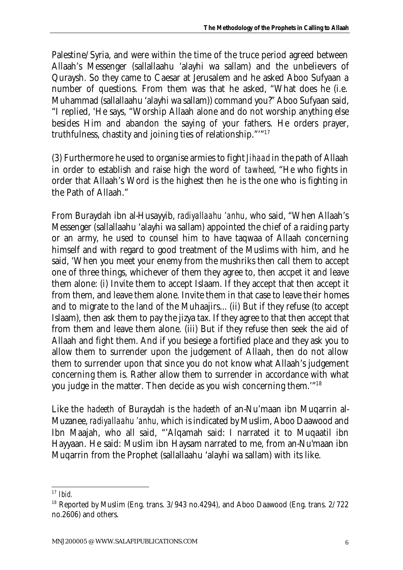Palestine/Syria, and were within the time of the truce period agreed between Allaah's Messenger (sallallaahu 'alayhi wa sallam) and the unbelievers of Quraysh. So they came to Caesar at Jerusalem and he asked Aboo Sufyaan a number of questions. From them was that he asked, "What does he (i.e. Muhammad (sallallaahu 'alayhi wa sallam)) command you?" Aboo Sufyaan said, "I replied, 'He says, "Worship Allaah alone and do not worship anything else besides Him and abandon the saying of your fathers. He orders prayer, truthfulness, chastity and joining ties of relationship."'"<sup>17</sup>

(3) Furthermore he used to organise armies to fight *Jihaad* in the path of Allaah in order to establish and raise high the word of *tawheed*, "He who fights in order that Allaah's Word is the highest then he is the one who is fighting in the Path of Allaah."

From Buraydah ibn al-Husayyib, *radiyallaahu 'anhu*, who said, "When Allaah's Messenger (sallallaahu 'alayhi wa sallam) appointed the chief of a raiding party or an army, he used to counsel him to have taqwaa of Allaah concerning himself and with regard to good treatment of the Muslims with him, and he said, 'When you meet your enemy from the mushriks then call them to accept one of three things, whichever of them they agree to, then accpet it and leave them alone: (i) Invite them to accept Islaam. If they accept that then accept it from them, and leave them alone. Invite them in that case to leave their homes and to migrate to the land of the Muhaajirs... (ii) But if they refuse (to accept Islaam), then ask them to pay the jizya tax. If they agree to that then accept that from them and leave them alone. (iii) But if they refuse then seek the aid of Allaah and fight them. And if you besiege a fortified place and they ask you to allow them to surrender upon the judgement of Allaah, then do not allow them to surrender upon that since you do not know what Allaah's judgement concerning them is. Rather allow them to surrender in accordance with what you judge in the matter. Then decide as you wish concerning them.'"<sup>18</sup>

Like the *hadeeth* of Buraydah is the *hadeeth* of an-Nu'maan ibn Muqarrin al-Muzanee, *radiyallaahu 'anhu,* which is indicated by Muslim, Aboo Daawood and Ibn Maajah, who all said, "'Alqamah said: I narrated it to Muqaatil ibn Hayyaan. He said: Muslim ibn Haysam narrated to me, from an-Nu'maan ibn Muqarrin from the Prophet (sallallaahu 'alayhi wa sallam) with its like.

<sup>17</sup> *Ibid.*

 $18$  Reported by Muslim (Eng. trans.  $3/943$  no.4294), and Aboo Daawood (Eng. trans.  $2/722$ no.2606) and others.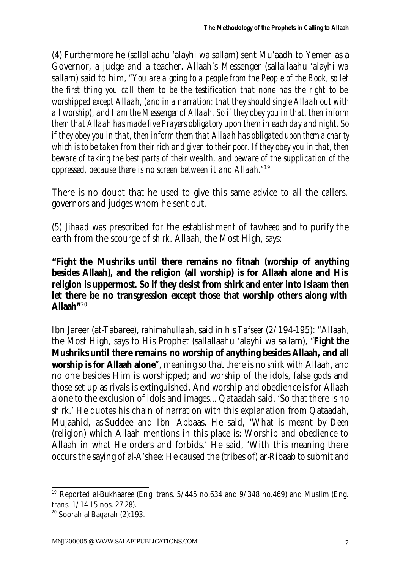(4) Furthermore he (sallallaahu 'alayhi wa sallam) sent Mu'aadh to Yemen as a Governor, a judge and a teacher. Allaah's Messenger (sallallaahu 'alayhi wa sallam) said to him, *"You are a going to a people from the People of the Book, so let the first thing you call them to be the testification that none has the right to be worshipped except Allaah, (and in a narration: that they should single Allaah out with all worship), and I am the Messenger of Allaah. So if they obey you in that, then inform them that Allaah has made five Prayers obligatory upon them in each day and night. So if they obey you in that, then inform them that Allaah has obligated upon them a charity which is to be taken from their rich and given to their poor. If they obey you in that, then beware of taking the best parts of their wealth, and beware of the supplication of the oppressed, because there is no screen between it and Allaah."*<sup>19</sup>

There is no doubt that he used to give this same advice to all the callers, governors and judges whom he sent out.

(5) *Jihaad* was prescribed for the establishment of *tawheed* and to purify the earth from the scourge of *shirk*. Allaah, the Most High, says:

**"Fight the** *Mushriks* **until there remains no fitnah (worship of anything besides Allaah), and the religion (all worship) is for Allaah alone and His religion is uppermost. So if they desist from** *shirk* **and enter into Islaam then let there be no transgression except those that worship others along with Allaah"**<sup>20</sup>

Ibn Jareer (at-Tabaree), *rahimahullaah*, said in his *Tafseer* (2/194-195): "Allaah, the Most High, says to His Prophet (sallallaahu 'alayhi wa sallam), "**Fight the**  *Mushriks* **until there remains no worship of anything besides Allaah, and all worship is for Allaah alone**", meaning so that there is no *shirk* with Allaah, and no one besides Him is worshipped; and worship of the idols, false gods and those set up as rivals is extinguished. And worship and obedience is for Allaah alone to the exclusion of idols and images... Qataadah said, 'So that there is no *shirk*.' He quotes his chain of narration with this explanation from Qataadah, Mujaahid, as-Suddee and Ibn 'Abbaas. He said, 'What is meant by *Deen*  (religion) which Allaah mentions in this place is: Worship and obedience to Allaah in what He orders and forbids.' He said, 'With this meaning there occurs the saying of al-A'shee: He caused the (tribes of) ar-Ribaab to submit and

<sup>&</sup>lt;sup>19</sup> Reported al-Bukhaaree (Eng. trans.  $5/445$  no.634 and  $9/348$  no.469) and Muslim (Eng. trans. 1/14-15 nos. 27-28).

 $20$  Soorah al-Baqarah (2):193.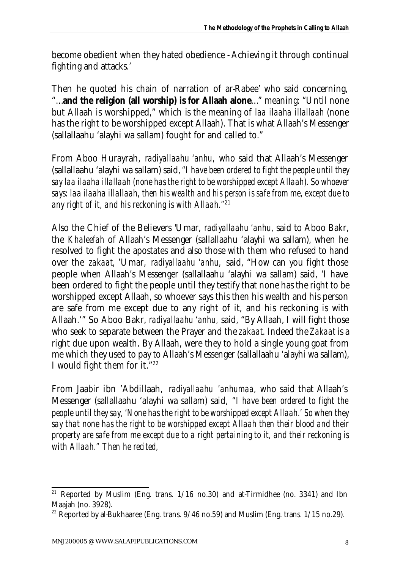become obedient when they hated obedience - Achieving it through continual fighting and attacks.'

Then he quoted his chain of narration of ar-Rabee' who said concerning, "…**and the religion (all worship) is for Allaah alone**…" meaning: "Until none but Allaah is worshipped," which is the meaning of *laa ilaaha illallaah* (none has the right to be worshipped except Allaah). That is what Allaah's Messenger (sallallaahu 'alayhi wa sallam) fought for and called to."

From Aboo Hurayrah, *radiyallaahu 'anhu,* who said that Allaah's Messenger (sallallaahu 'alayhi wa sallam) said, *"I have been ordered to fight the people until they say laa ilaaha illallaah (none has the right to be worshipped except Allaah). So whoever says: laa ilaaha illallaah, then his wealth and his person is safe from me, except due to any right of it, and his reckoning is with Allaah."*<sup>21</sup>

Also the Chief of the Believers 'Umar, *radiyallaahu 'anhu,* said to Aboo Bakr, the *Khaleefah* of Allaah's Messenger (sallallaahu 'alayhi wa sallam), when he resolved to fight the apostates and also those with them who refused to hand over the *zakaat*, 'Umar, *radiyallaahu 'anhu,* said, "How can you fight those people when Allaah's Messenger (sallallaahu 'alayhi wa sallam) said, 'I have been ordered to fight the people until they testify that none has the right to be worshipped except Allaah, so whoever says this then his wealth and his person are safe from me except due to any right of it, and his reckoning is with Allaah.'" So Aboo Bakr, *radiyallaahu 'anhu,* said, "By Allaah, I will fight those who seek to separate between the Prayer and the *zakaat*. Indeed the *Zakaat* is a right due upon wealth. By Allaah, were they to hold a single young goat from me which they used to pay to Allaah's Messenger (sallallaahu 'alayhi wa sallam), I would fight them for it."<sup>22</sup>

From Jaabir ibn 'Abdillaah, *radiyallaahu 'anhumaa,* who said that Allaah's Messenger (sallallaahu 'alayhi wa sallam) said, *"I have been ordered to fight the people until they say, 'None has the right to be worshipped except Allaah.' So when they say that none has the right to be worshipped except Allaah then their blood and their property are safe from me except due to a right pertaining to it, and their reckoning is with Allaah." Then he recited,*

l <sup>21</sup> Reported by Muslim (Eng. trans. 1/16 no.30) and at-Tirmidhee (no. 3341) and Ibn Maajah (no. 3928).

<sup>&</sup>lt;sup>22</sup> Reported by al-Bukhaaree (Eng. trans.  $9/46$  no.59) and Muslim (Eng. trans.  $1/15$  no.29).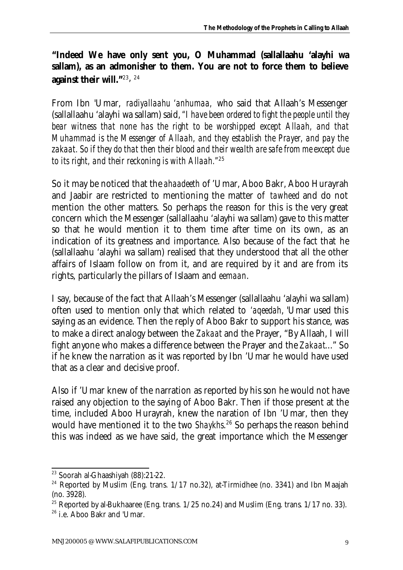## **"Indeed We have only sent you, O Muhammad (sallallaahu 'alayhi wa sallam), as an admonisher to them. You are not to force them to believe against their will."**<sup>23</sup>, 24

From Ibn 'Umar, *radiyallaahu 'anhumaa,* who said that Allaah's Messenger (sallallaahu 'alayhi wa sallam) said, *"I have been ordered to fight the people until they bear witness that none has the right to be worshipped except Allaah, and that Muhammad is the Messenger of Allaah, and they establish the Prayer, and pay the zakaat. So if they do that then their blood and their wealth are safe from me except due to its right, and their reckoning is with Allaah."*<sup>25</sup>

So it may be noticed that the *ahaadeeth* of 'Umar, Aboo Bakr, Aboo Hurayrah and Jaabir are restricted to mentioning the matter of *tawheed* and do not mention the other matters. So perhaps the reason for this is the very great concern which the Messenger (sallallaahu 'alayhi wa sallam) gave to this matter so that he would mention it to them time after time on its own, as an indication of its greatness and importance. Also because of the fact that he (sallallaahu 'alayhi wa sallam) realised that they understood that all the other affairs of Islaam follow on from it, and are required by it and are from its rights, particularly the pillars of Islaam and *eemaan*.

I say, because of the fact that Allaah's Messenger (sallallaahu 'alayhi wa sallam) often used to mention only that which related to *'aqeedah*, 'Umar used this saying as an evidence. Then the reply of Aboo Bakr to support his stance, was to make a direct analogy between the *Zakaat* and the Prayer, "By Allaah, I will fight anyone who makes a difference between the Prayer and the *Zakaat*..." So if he knew the narration as it was reported by Ibn 'Umar he would have used that as a clear and decisive proof.

Also if 'Umar knew of the narration as reported by his son he would not have raised any objection to the saying of Aboo Bakr. Then if those present at the time, included Aboo Hurayrah, knew the naration of Ibn 'Umar, then they would have mentioned it to the two *Shaykhs*. <sup>26</sup> So perhaps the reason behind this was indeed as we have said, the great importance which the Messenger

l <sup>23</sup> Soorah al-Ghaashiyah (88):21-22.

<sup>&</sup>lt;sup>24</sup> Reported by Muslim (Eng. trans.  $1/17$  no.32), at-Tirmidhee (no. 3341) and Ibn Maajah (no. 3928).

<sup>&</sup>lt;sup>25</sup> Reported by al-Bukhaaree (Eng. trans.  $1/25$  no.24) and Muslim (Eng. trans.  $1/17$  no. 33).

<sup>&</sup>lt;sup>26</sup> i.e. Aboo Bakr and 'Umar.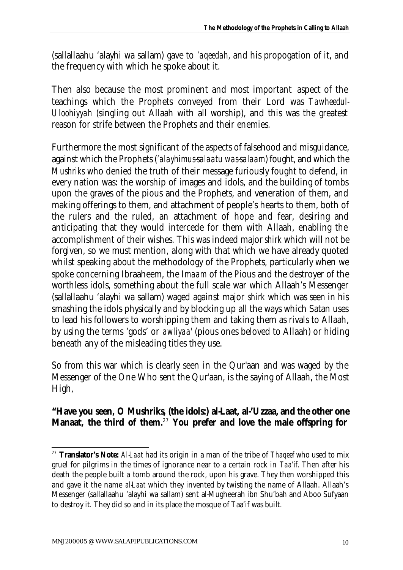(sallallaahu 'alayhi wa sallam) gave to *'aqeedah*, and his propogation of it, and the frequency with which he spoke about it.

Then also because the most prominent and most important aspect of the teachings which the Prophets conveyed from their Lord was *Tawheedul-Uloohiyyah* (singling out Allaah with all worship), and this was the greatest reason for strife between the Prophets and their enemies.

Furthermore the most significant of the aspects of falsehood and misguidance, against which the Prophets (*'alayhimus-salaatu was-salaam*) fought, and which the *Mushriks* who denied the truth of their message furiously fought to defend, in every nation was: the worship of images and idols, and the building of tombs upon the graves of the pious and the Prophets, and veneration of them, and making offerings to them, and attachment of people's hearts to them, both of the rulers and the ruled, an attachment of hope and fear, desiring and anticipating that they would intercede for them with Allaah, enabling the accomplishment of their wishes. This was indeed major *shirk* which will not be forgiven, so we must mention, along with that which we have already quoted whilst speaking about the methodology of the Prophets, particularly when we spoke concerning Ibraaheem, the *Imaam* of the Pious and the destroyer of the worthless idols, something about the full scale war which Allaah's Messenger (sallallaahu 'alayhi wa sallam) waged against major *shirk* which was seen in his smashing the idols physically and by blocking up all the ways which Satan uses to lead his followers to worshipping them and taking them as rivals to Allaah, by using the terms 'gods' or *awliyaa*' (pious ones beloved to Allaah) or hiding beneath any of the misleading titles they use.

So from this war which is clearly seen in the Qur'aan and was waged by the Messenger of the One Who sent the Qur'aan, is the saying of Allaah, the Most High,

#### **"Have you seen, O** *Mushriks***, (the idols:)** *al-Laat***,** *al-'Uzzaa,* **and the other one**  *Manaat***, the third of them.**<sup>27</sup> **You prefer and love the male offspring for**

<sup>27</sup> **Translator's Note:** *Al-Laat* had its origin in a man of the tribe of *Thaqeef* who used to mix gruel for pilgrims in the times of ignorance near to a certain rock in *Taa'if*. Then after his death the people built a tomb around the rock, upon his grave. They then worshipped this and gave it the name *al-Laat* which they invented by twisting the name of Allaah. Allaah's Messenger (sallallaahu 'alayhi wa sallam) sent al-Mugheerah ibn Shu'bah and Aboo Sufyaan to destroy it. They did so and in its place the mosque of Taa'if was built.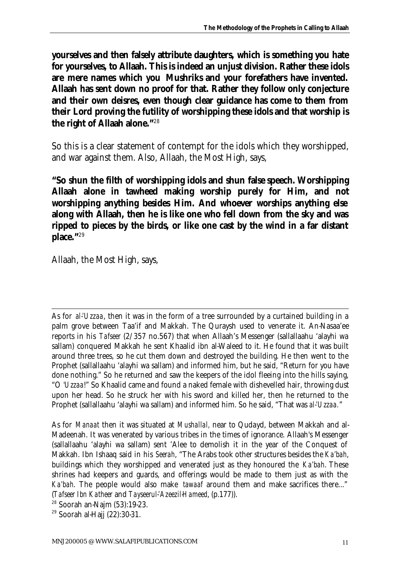**yourselves and then falsely attribute daughters, which is something you hate for yourselves, to Allaah. This is indeed an unjust division. Rather these idols are mere names which you** *Mushriks* **and your forefathers have invented. Allaah has sent down no proof for that. Rather they follow only conjecture and their own deisres, even though clear guidance has come to them from their Lord proving the futility of worshipping these idols and that worship is the right of Allaah alone."**<sup>28</sup>

So this is a clear statement of contempt for the idols which they worshipped, and war against them. Also, Allaah, the Most High, says,

**"So shun the filth of worshipping idols and shun false speech. Worshipping Allaah alone in** *tawheed* **making worship purely for Him, and not worshipping anything besides Him. And whoever worships anything else along with Allaah, then he is like one who fell down from the sky and was ripped to pieces by the birds, or like one cast by the wind in a far distant place."**<sup>29</sup>

Allaah, the Most High, says,

l As for *al-'Uzzaa*, then it was in the form of a tree surrounded by a curtained building in a palm grove between Taa'if and Makkah. The Quraysh used to venerate it. An-Nasaa'ee reports in his *Tafseer* (2/357 no.567) that when Allaah's Messenger (sallallaahu 'alayhi wa sallam) conquered Makkah he sent Khaalid ibn al-Waleed to it. He found that it was built around three trees, so he cut them down and destroyed the building. He then went to the Prophet (sallallaahu 'alayhi wa sallam) and informed him, but he said, "Return for you have done nothing." So he returned and saw the keepers of the idol fleeing into the hills saying, "O *'Uzzaa*!" So Khaalid came and found a naked female with dishevelled hair, throwing dust upon her head. So he struck her with his sword and killed her, then he returned to the Prophet (sallallaahu 'alayhi wa sallam) and informed him. So he said, "That was *al-'Uzzaa.*"

As for *Manaat* then it was situated at *Mushallal,* near to Qudayd, between Makkah and al-Madeenah. It was venerated by various tribes in the times of ignorance. Allaah's Messenger (sallallaahu 'alayhi wa sallam) sent 'Alee to demolish it in the year of the Conquest of Makkah. Ibn Ishaaq said in his *Seerah*, "The Arabs took other structures besides the *Ka'bah*, buildings which they worshipped and venerated just as they honoured the *Ka'bah*. These shrines had keepers and guards, and offerings would be made to them just as with the *Ka'bah*. The people would also make *tawaaf* around them and make sacrifices there..." (*Tafseer Ibn Katheer* and *Tayseerul-'Azeezil-Hameed*, (p.177)).

<sup>28</sup> Soorah an-Najm (53):19-23.

<sup>29</sup> Soorah al-Hajj (22):30-31.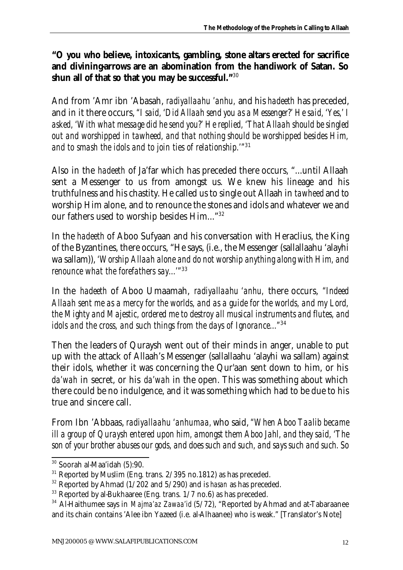#### **"O you who believe, intoxicants, gambling, stone altars erected for sacrifice and divining-arrows are an abomination from the handiwork of Satan. So shun all of that so that you may be successful."**<sup>30</sup>

And from 'Amr ibn 'Abasah, *radiyallaahu 'anhu,* and his *hadeeth* has preceded, and in it there occurs, *"I said, 'Did Allaah send you as a Messenger?' He said, 'Yes,' I asked, 'With what message did he send you?' He replied, 'That Allaah should be singled out and worshipped in tawheed, and that nothing should be worshipped besides Him, and to smash the idols and to join ties of relationship.'"*<sup>31</sup>

Also in the *hadeeth* of Ja'far which has preceded there occurs, "...until Allaah sent a Messenger to us from amongst us. We knew his lineage and his truthfulness and his chastity. He called us to single out Allaah in *tawheed* and to worship Him alone, and to renounce the stones and idols and whatever we and our fathers used to worship besides Him..."<sup>32</sup>

In the *hadeeth* of Aboo Sufyaan and his conversation with Heraclius, the King of the Byzantines, there occurs, "He says, (i.e., the Messenger (sallallaahu 'alayhi wa sallam)), *'Worship Allaah alone and do not worship anything along with Him, and renounce what the forefathers say...'"*<sup>33</sup>

In the *hadeeth* of Aboo Umaamah, *radiyallaahu 'anhu,* there occurs, *"Indeed Allaah sent me as a mercy for the worlds, and as a guide for the worlds, and my Lord, the Mighty and Majestic, ordered me to destroy all musical instruments and flutes, and idols and the cross, and such things from the days of Ignorance..."*<sup>34</sup>

Then the leaders of Quraysh went out of their minds in anger, unable to put up with the attack of Allaah's Messenger (sallallaahu 'alayhi wa sallam) against their idols, whether it was concerning the Qur'aan sent down to him, or his *da'wah* in secret, or his *da'wah* in the open. This was something about which there could be no indulgence, and it was something which had to be due to his true and sincere call.

From Ibn 'Abbaas, *radiyallaahu 'anhumaa,* who said, *"When Aboo Taalib became ill a group of Quraysh entered upon him, amongst them Aboo Jahl, and they said, 'The son of your brother abuses our gods, and does such and such, and says such and such. So* 

l <sup>30</sup> Soorah al-Maa'idah (5):90.

 $31$  Reported by Muslim (Eng. trans.  $2/395$  no.1812) as has preceded.

<sup>32</sup> Reported by Ahmad (1/202 and 5/290) and is *hasan* as has preceded.

<sup>&</sup>lt;sup>33</sup> Reported by al-Bukhaaree (Eng. trans. 1/7 no.6) as has preceded.

<sup>&</sup>lt;sup>34</sup> Al-Haithumee says in *Majma'az Zawaa'id* (5/72), "Reported by Ahmad and at-Tabaraanee and its chain contains 'Alee ibn Yazeed (i.e. al-Alhaanee) who is weak." [Translator's Note]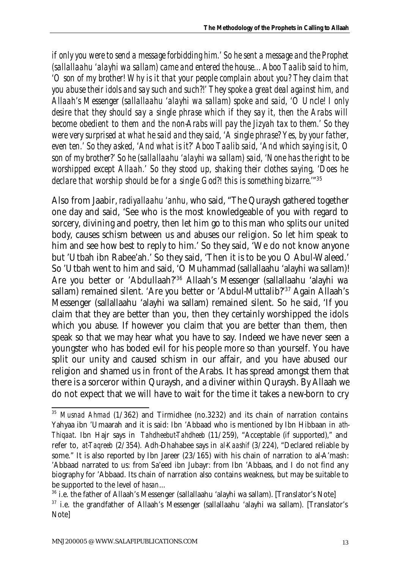*if only you were to send a message forbidding him.' So he sent a message and the Prophet (sallallaahu 'alayhi wa sallam) came and entered the house... Aboo Taalib said to him, 'O son of my brother! Why is it that your people complain about you? They claim that you abuse their idols and say such and such?!' They spoke a great deal against him, and Allaah's Messenger (sallallaahu 'alayhi wa sallam) spoke and said, 'O Uncle! I only desire that they should say a single phrase which if they say it, then the Arabs will become obedient to them and the non-Arabs will pay the Jizyah tax to them.' So they were very surprised at what he said and they said, 'A single phrase? Yes, by your father, even ten.' So they asked, 'And what is it?' Aboo Taalib said, 'And which saying is it, O son of my brother?' So he (sallallaahu 'alayhi wa sallam) said, 'None has the right to be worshipped except Allaah.' So they stood up, shaking their clothes saying, 'Does he declare that worship should be for a single God?! this is something bizarre.'"* 35

Also from Jaabir, *radiyallaahu 'anhu,* who said, "The Quraysh gathered together one day and said, 'See who is the most knowledgeable of you with regard to sorcery, divining and poetry, then let him go to this man who splits our united body, causes schism between us and abuses our religion. So let him speak to him and see how best to reply to him.' So they said, 'We do not know anyone but 'Utbah ibn Rabee'ah.' So they said, 'Then it is to be you O Abul-Waleed.' So 'Utbah went to him and said, 'O Muhammad (sallallaahu 'alayhi wa sallam)! Are you better or 'Abdullaah?'<sup>36</sup> Allaah's Messenger (sallallaahu 'alayhi wa sallam) remained silent. 'Are you better or 'Abdul-Muttalib?'<sup>37</sup> Again Allaah's Messenger (sallallaahu 'alayhi wa sallam) remained silent. So he said, 'If you claim that they are better than you, then they certainly worshipped the idols which you abuse. If however you claim that you are better than them, then speak so that we may hear what you have to say. Indeed we have never seen a youngster who has boded evil for his people more so than yourself. You have split our unity and caused schism in our affair, and you have abused our religion and shamed us in front of the Arabs. It has spread amongst them that there is a sorceror within Quraysh, and a diviner within Quraysh. By Allaah we do not expect that we will have to wait for the time it takes a new-born to cry

<sup>35</sup> *Musnad Ahmad* (1/362) and Tirmidhee (no.3232) and its chain of narration contains Yahyaa ibn 'Umaarah and it is said: Ibn 'Abbaad who is mentioned by Ibn Hibbaan in *ath-Thiqaat*. Ibn Hajr says in *Tahdheebut-Tahdheeb* (11/259), "Acceptable (if supported)," and refer to, *at-Taqreeb* (2/354). Adh-Dhahabee says in *al-Kaashif* (3/224), "Declared reliable by some." It is also reported by Ibn Jareer (23/165) with his chain of narration to al-A'mash: 'Abbaad narrated to us: from Sa'eed ibn Jubayr: from Ibn 'Abbaas, and I do not find any biography for 'Abbaad. Its chain of narration also contains weakness, but may be suitable to be supported to the level of *hasan*...

<sup>&</sup>lt;sup>36</sup> i.e. the father of Allaah's Messenger (sallallaahu 'alayhi wa sallam). [Translator's Note]

 $37$  i.e. the grandfather of Allaah's Messenger (sallallaahu 'alayhi wa sallam). [Translator's Note]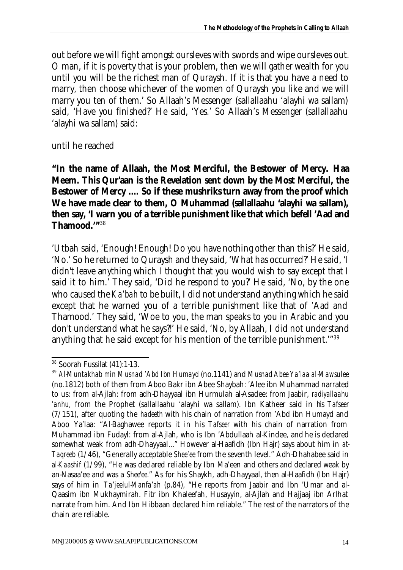out before we will fight amongst oursleves with swords and wipe oursleves out. O man, if it is poverty that is your problem, then we will gather wealth for you until you will be the richest man of Quraysh. If it is that you have a need to marry, then choose whichever of the women of Quraysh you like and we will marry you ten of them.' So Allaah's Messenger (sallallaahu 'alayhi wa sallam) said, 'Have you finished?' He said, 'Yes.' So Allaah's Messenger (sallallaahu 'alayhi wa sallam) said:

until he reached

**"In the name of Allaah, the Most Merciful, the Bestower of Mercy.** *Haa Meem***. This Qur'aan is the Revelation sent down by the Most Merciful, the Bestower of Mercy .... So if these** *mushriks* **turn away from the proof which We have made clear to them, O Muhammad (sallallaahu 'alayhi wa sallam), then say, 'I warn you of a terrible punishment like that which befell 'Aad and Thamood.'"**<sup>38</sup>

'Utbah said, 'Enough! Enough! Do you have nothing other than this?' He said, 'No.' So he returned to Quraysh and they said, 'What has occurred?' He said, 'I didn't leave anything which I thought that you would wish to say except that I said it to him.' They said, 'Did he respond to you?' He said, 'No, by the one who caused the *Ka'bah* to be built, I did not understand anything which he said except that he warned you of a terrible punishment like that of 'Aad and Thamood.' They said, 'Woe to you, the man speaks to you in Arabic and you don't understand what he says?!' He said, 'No, by Allaah, I did not understand anything that he said except for his mention of the terrible punishment.'"<sup>39</sup>

l <sup>38</sup> Soorah Fussilat (41):1-13.

<sup>39</sup> *Al-Muntakhab min Musnad 'Abd Ibn Humayd* (no.1141) and *Musnad Abee Ya'laa al-Mawsulee* (no.1812) both of them from Aboo Bakr ibn Abee Shaybah: 'Alee ibn Muhammad narrated to us: from al-Ajlah: from adh-Dhayyaal ibn Hurmulah al-Asadee: from Jaabir, *radiyallaahu 'anhu,* from the Prophet (sallallaahu 'alayhi wa sallam). Ibn Katheer said in his *Tafseer* (7/151), after quoting the *hadeeth* with his chain of narration from 'Abd ibn Humayd and Aboo Ya'laa: "Al-Baghawee reports it in his *Tafseer* with his chain of narration from Muhammad ibn Fudayl: from al-Ajlah, who is Ibn 'Abdullaah al-Kindee, and he is declared somewhat weak from adh-Dhayyaal..." However al-Haafidh (Ibn Hajr) says about him in *at-Taqreeb* (1/46), "Generally acceptable *Shee'ee* from the seventh level." Adh-Dhahabee said in *al-Kaashif* (1/99), "He was declared reliable by Ibn Ma'een and others and declared weak by an-Nasaa'ee and was a *Shee'ee*." As for his Shaykh, adh-Dhayyaal, then al-Haafidh (Ibn Hajr) says of him in *Ta'jeelul-Manfa'ah* (p.84), "He reports from Jaabir and Ibn 'Umar and al-Qaasim ibn Mukhaymirah. Fitr ibn Khaleefah, Husayyin, al-Ajlah and Hajjaaj ibn Arlhat narrate from him. And Ibn Hibbaan declared him reliable." The rest of the narrators of the chain are reliable.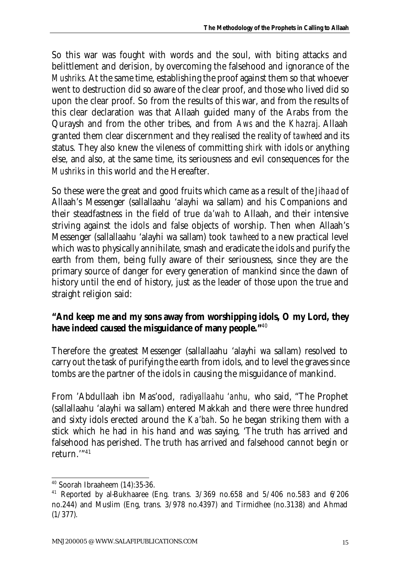So this war was fought with words and the soul, with biting attacks and belittlement and derision, by overcoming the falsehood and ignorance of the *Mushriks.* At the same time, establishing the proof against them so that whoever went to destruction did so aware of the clear proof, and those who lived did so upon the clear proof. So from the results of this war, and from the results of this clear declaration was that Allaah guided many of the Arabs from the Quraysh and from the other tribes, and from *Aws* and the *Khazraj*. Allaah granted them clear discernment and they realised the reality of *tawheed* and its status. They also knew the vileness of committing *shirk* with idols or anything else, and also, at the same time, its seriousness and evil consequences for the *Mushriks* in this world and the Hereafter.

So these were the great and good fruits which came as a result of the *Jihaad* of Allaah's Messenger (sallallaahu 'alayhi wa sallam) and his Companions and their steadfastness in the field of true *da'wah* to Allaah, and their intensive striving against the idols and false objects of worship. Then when Allaah's Messenger (sallallaahu 'alayhi wa sallam) took *tawheed* to a new practical level which was to physically annihilate, smash and eradicate the idols and purify the earth from them, being fully aware of their seriousness, since they are the primary source of danger for every generation of mankind since the dawn of history until the end of history, just as the leader of those upon the true and straight religion said:

#### **"And keep me and my sons away from worshipping idols, O my Lord, they have indeed caused the misguidance of many people."**<sup>40</sup>

Therefore the greatest Messenger (sallallaahu 'alayhi wa sallam) resolved to carry out the task of purifying the earth from idols, and to level the graves since tombs are the partner of the idols in causing the misguidance of mankind.

From 'Abdullaah ibn Mas'ood, *radiyallaahu 'anhu,* who said, "The Prophet (sallallaahu 'alayhi wa sallam) entered Makkah and there were three hundred and sixty idols erected around the *Ka'bah*. So he began striking them with a stick which he had in his hand and was saying, 'The truth has arrived and falsehood has perished. The truth has arrived and falsehood cannot begin or return.'"<sup>41</sup>

<sup>40</sup> Soorah Ibraaheem (14):35-36.

<sup>&</sup>lt;sup>41</sup> Reported by al-Bukhaaree (Eng. trans.  $3/369$  no.658 and  $5/406$  no.583 and  $6/206$ no.244) and Muslim (Eng, trans. 3/978 no.4397) and Tirmidhee (no.3138) and Ahmad (1/377).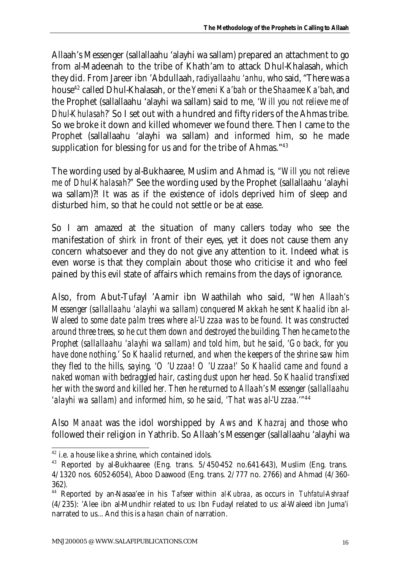Allaah's Messenger (sallallaahu 'alayhi wa sallam) prepared an attachment to go from al-Madeenah to the tribe of Khath'am to attack Dhul-Khalasah, which they did. From Jareer ibn 'Abdullaah, *radiyallaahu 'anhu,* who said, "There was a house<sup>42</sup> called Dhul-Khalasah, or the *Yemeni Ka'bah* or the *Shaamee Ka'bah*, and the Prophet (sallallaahu 'alayhi wa sallam) said to me, *'Will you not relieve me of Dhul-Khulasah?'* So I set out with a hundred and fifty riders of the Ahmas tribe. So we broke it down and killed whomever we found there. Then I came to the Prophet (sallallaahu 'alayhi wa sallam) and informed him, so he made supplication for blessing for us and for the tribe of Ahmas."<sup>43</sup>

The wording used by al-Bukhaaree, Muslim and Ahmad is, *"Will you not relieve me of Dhul-Khalasah?"* See the wording used by the Prophet (sallallaahu 'alayhi wa sallam)?! It was as if the existence of idols deprived him of sleep and disturbed him, so that he could not settle or be at ease.

So I am amazed at the situation of many callers today who see the manifestation of *shirk* in front of their eyes, yet it does not cause them any concern whatsoever and they do not give any attention to it. Indeed what is even worse is that they complain about those who criticise it and who feel pained by this evil state of affairs which remains from the days of ignorance.

Also, from Abut-Tufayl 'Aamir ibn Waathilah who said, *"When Allaah's Messenger (sallallaahu 'alayhi wa sallam) conquered Makkah he sent Khaalid ibn al-Waleed to some date palm trees where al-'Uzzaa was to be found. It was constructed around three trees, so he cut them down and destroyed the building. Then he came to the Prophet (sallallaahu 'alayhi wa sallam) and told him, but he said, 'Go back, for you have done nothing.' So Khaalid returned, and when the keepers of the shrine saw him they fled to the hills, saying, 'O 'Uzzaa! O 'Uzzaa!' So Khaalid came and found a naked woman with bedraggled hair, casting dust upon her head. So Khaalid transfixed her with the sword and killed her. Then he returned to Allaah's Messenger (sallallaahu 'alayhi wa sallam) and informed him, so he said, 'That was al-'Uzzaa.'"*<sup>44</sup>

Also *Manaat* was the idol worshipped by *Aws* and *Khazraj* and those who followed their religion in Yathrib. So Allaah's Messenger (sallallaahu 'alayhi wa

l <sup>42</sup> i.e. a house like a shrine, which contained idols.

<sup>43</sup> Reported by al-Bukhaaree (Eng. trans. 5/450-452 no.641-643), Muslim (Eng. trans. 4/1320 nos. 6052-6054), Aboo Daawood (Eng. trans. 2/777 no. 2766) and Ahmad (4/360- 362).

<sup>44</sup> Reported by an-Nasaa'ee in his *Tafseer* within *al-Kubraa*, as occurs in *Tuhfatul-Ashraaf* (4/235): 'Alee ibn al-Mundhir related to us: Ibn Fudayl related to us: al-Waleed ibn Juma'i narrated to us... And this is a *hasan* chain of narration.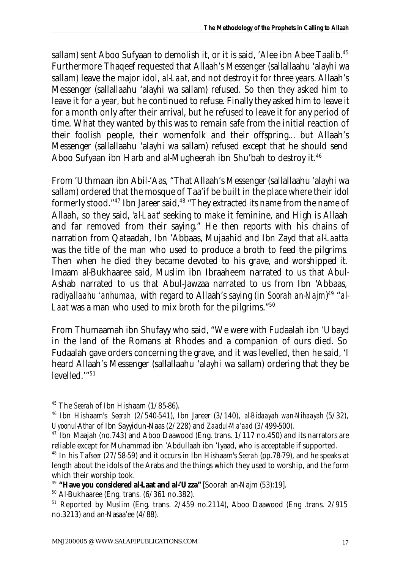sallam) sent Aboo Sufyaan to demolish it, or it is said, 'Alee ibn Abee Taalib.<sup>45</sup> Furthermore Thaqeef requested that Allaah's Messenger (sallallaahu 'alayhi wa sallam) leave the major idol, *al-Laat*, and not destroy it for three years. Allaah's Messenger (sallallaahu 'alayhi wa sallam) refused. So then they asked him to leave it for a year, but he continued to refuse. Finally they asked him to leave it for a month only after their arrival, but he refused to leave it for any period of time. What they wanted by this was to remain safe from the initial reaction of their foolish people, their womenfolk and their offspring... but Allaah's Messenger (sallallaahu 'alayhi wa sallam) refused except that he should send Aboo Sufyaan ibn Harb and al-Mugheerah ibn Shu'bah to destroy it.<sup>46</sup>

From 'Uthmaan ibn Abil-'Aas, "That Allaah's Messenger (sallallaahu 'alayhi wa sallam) ordered that the mosque of Taa'if be built in the place where their idol formerly stood."<sup>47</sup> Ibn Jareer said,<sup>48</sup> "They extracted its name from the name of Allaah, so they said, '*al-Laat*' seeking to make it feminine, and High is Allaah and far removed from their saying." He then reports with his chains of narration from Qataadah, Ibn 'Abbaas, Mujaahid and Ibn Zayd that *al-Laatta* was the title of the man who used to produce a broth to feed the pilgrims. Then when he died they became devoted to his grave, and worshipped it. Imaam al-Bukhaaree said, Muslim ibn Ibraaheem narrated to us that Abul-Ashab narrated to us that Abul-Jawzaa narrated to us from Ibn 'Abbaas, *radiyallaahu 'anhumaa,* with regard to Allaah's saying (in *Soorah an-Najm*) 49 "*al-Laat* was a man who used to mix broth for the pilgrims."<sup>50</sup>

From Thumaamah ibn Shufayy who said, "We were with Fudaalah ibn 'Ubayd in the land of the Romans at Rhodes and a companion of ours died. So Fudaalah gave orders concerning the grave, and it was levelled, then he said, 'I heard Allaah's Messenger (sallallaahu 'alayhi wa sallam) ordering that they be levelled."<sup>51</sup>

<sup>45</sup> The *Seerah* of Ibn Hishaam (1/85-86).

<sup>46</sup> Ibn Hishaam's *Seerah* (2/540-541), Ibn Jareer (3/140), *al-Bidaayah wan-Nihaayah* (5/32), *Uyoonul-Athar* of Ibn Sayyidun-Naas (2/228) and *Zaadul-Ma'aad* (3/499-500).

 $47$  Ibn Maajah (no.743) and Aboo Daawood (Eng. trans.  $1/117$  no.450) and its narrators are reliable except for Muhammad ibn 'Abdullaah ibn 'Iyaad, who is acceptable if supported.

<sup>48</sup> In his *Tafseer* (27/58-59) and it occurs in Ibn Hishaam's *Seerah* (pp.78-79), and he speaks at length about the idols of the Arabs and the things which they used to worship, and the form which their worship took.

<sup>49</sup> **"Have you considered al-Laat and al-'Uzza"** [Soorah an-Najm (53):19].

<sup>50</sup> Al-Bukhaaree (Eng. trans. (6/361 no.382).

<sup>51</sup> Reported by Muslim (Eng. trans. 2/459 no.2114), Aboo Daawood (Eng .trans. 2/915 no.3213) and an-Nasaa'ee (4/88).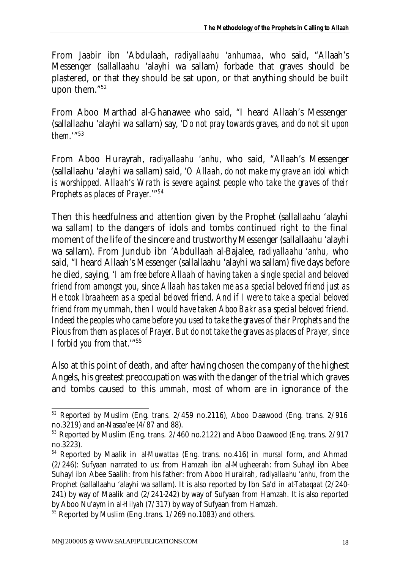From Jaabir ibn 'Abdulaah, *radiyallaahu 'anhumaa,* who said, "Allaah's Messenger (sallallaahu 'alayhi wa sallam) forbade that graves should be plastered, or that they should be sat upon, or that anything should be built upon them."<sup>52</sup>

From Aboo Marthad al-Ghanawee who said, "I heard Allaah's Messenger (sallallaahu 'alayhi wa sallam) say, *'Do not pray towards graves, and do not sit upon them*.'"<sup>53</sup>

From Aboo Hurayrah, *radiyallaahu 'anhu,* who said, "Allaah's Messenger (sallallaahu 'alayhi wa sallam) said, *'O Allaah, do not make my grave an idol which is worshipped. Allaah's Wrath is severe against people who take the graves of their Prophets as places of Prayer.'*" 54

Then this heedfulness and attention given by the Prophet (sallallaahu 'alayhi wa sallam) to the dangers of idols and tombs continued right to the final moment of the life of the sincere and trustworthy Messenger (sallallaahu 'alayhi wa sallam). From Jundub ibn 'Abdullaah al-Bajalee, *radiyallaahu 'anhu,* who said, "I heard Allaah's Messenger (sallallaahu 'alayhi wa sallam) five days before he died, saying, *'I am free before Allaah of having taken a single special and beloved friend from amongst you, since Allaah has taken me as a special beloved friend just as He took Ibraaheem as a special beloved friend. And if I were to take a special beloved friend from my ummah, then I would have taken Aboo Bakr as a special beloved friend. Indeed the peoples who came before you used to take the graves of their Prophets and the Pious from them as places of Prayer. But do not take the graves as places of Prayer, since I forbid you from that.'*" 55

Also at this point of death, and after having chosen the company of the highest Angels, his greatest preoccupation was with the danger of the trial which graves and tombs caused to this *ummah*, most of whom are in ignorance of the

 $52$  Reported by Muslim (Eng. trans.  $2/459$  no.2116), Aboo Daawood (Eng. trans.  $2/916$ no.3219) and an-Nasaa'ee (4/87 and 88).

<sup>&</sup>lt;sup>53</sup> Reported by Muslim (Eng. trans. 2/460 no.2122) and Aboo Daawood (Eng. trans. 2/917 no.3223).

<sup>54</sup> Reported by Maalik in *al-Muwattaa* (Eng. trans. no.416) in *mursal* form, and Ahmad (2/246): Sufyaan narrated to us: from Hamzah ibn al-Mugheerah: from Suhayl ibn Abee Suhayl ibn Abee Saalih: from his father: from Aboo Hurairah, *radiyallaahu 'anhu,* from the Prophet (sallallaahu 'alayhi wa sallam). It is also reported by Ibn Sa'd in *at-Tabaqaat* (2/240- 241) by way of Maalik and (2/241-242) by way of Sufyaan from Hamzah. It is also reported by Aboo Nu'aym in *al-Hilyah* (7/317) by way of Sufyaan from Hamzah.

<sup>&</sup>lt;sup>55</sup> Reported by Muslim (Eng.trans. 1/269 no.1083) and others.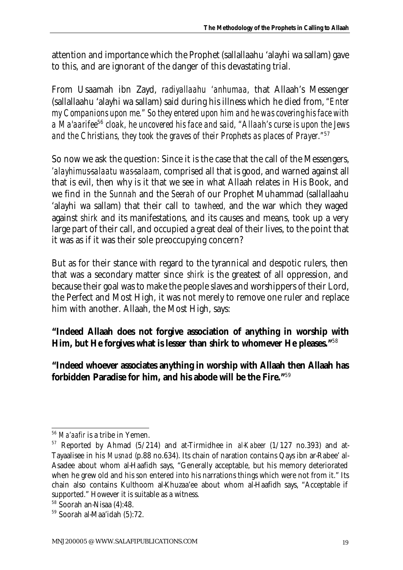attention and importance which the Prophet (sallallaahu 'alayhi wa sallam) gave to this, and are ignorant of the danger of this devastating trial.

From Usaamah ibn Zayd, *radiyallaahu 'anhumaa,* that Allaah's Messenger (sallallaahu 'alayhi wa sallam) said during his illness which he died from, *"Enter my Companions upon me." So they entered upon him and he was covering his face with a Ma'aarifee*<sup>56</sup> *cloak, he uncovered his face and said, "Allaah's curse is upon the Jews and the Christians, they took the graves of their Prophets as places of Prayer."*<sup>57</sup>

So now we ask the question: Since it is the case that the call of the Messengers, *'alayhimus-salaatu was-salaam,* comprised all that is good, and warned against all that is evil, then why is it that we see in what Allaah relates in His Book, and we find in the *Sunnah* and the *Seerah* of our Prophet Muhammad (sallallaahu 'alayhi wa sallam) that their call to *tawheed,* and the war which they waged against *shirk* and its manifestations, and its causes and means, took up a very large part of their call, and occupied a great deal of their lives, to the point that it was as if it was their sole preoccupying concern?

But as for their stance with regard to the tyrannical and despotic rulers, then that was a secondary matter since *shirk* is the greatest of all oppression, and because their goal was to make the people slaves and worshippers of their Lord, the Perfect and Most High, it was not merely to remove one ruler and replace him with another. Allaah, the Most High, says:

**"Indeed Allaah does not forgive association of anything in worship with Him, but He forgives what is lesser than** *shirk* **to whomever He pleases."**<sup>58</sup>

**"Indeed whoever associates anything in worship with Allaah then Allaah has forbidden Paradise for him, and his abode will be the Fire."**<sup>59</sup>

l <sup>56</sup> *Ma'aafir* is a tribe in Yemen.

<sup>57</sup> Reported by Ahmad (5/214) and at-Tirmidhee in *al-Kabeer* (1/127 no.393) and at-Tayaalisee in his *Musnad* (p.88 no.634). Its chain of naration contains Qays ibn ar-Rabee' al-Asadee about whom al-Haafidh says, "Generally acceptable, but his memory deteriorated when he grew old and his son entered into his narrations things which were not from it." Its chain also contains Kulthoom al-Khuzaa'ee about whom al-Haafidh says, "Acceptable if supported." However it is suitable as a witness.

<sup>58</sup> Soorah an-Nisaa (4):48.

<sup>59</sup> Soorah al-Maa'idah (5):72.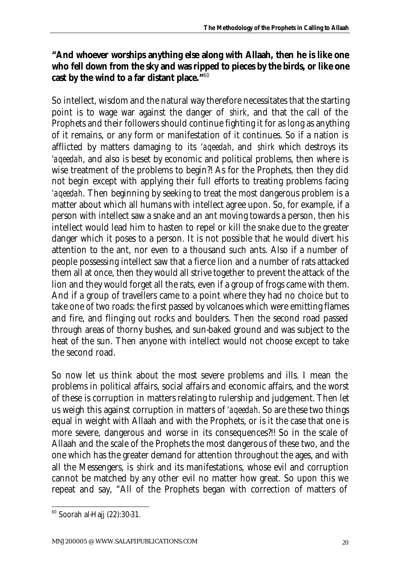#### **"And whoever worships anything else along with Allaah, then he is like one who fell down from the sky and was ripped to pieces by the birds, or like one cast by the wind to a far distant place."**<sup>60</sup>

So intellect, wisdom and the natural way therefore necessitates that the starting point is to wage war against the danger of *shirk*, and that the call of the Prophets and their followers should continue fighting it for as long as anything of it remains, or any form or manifestation of it continues. So if a nation is afflicted by matters damaging to its *'aqeedah*, and *shirk* which destroys its *'aqeedah*, and also is beset by economic and political problems, then where is wise treatment of the problems to begin?! As for the Prophets, then they did not begin except with applying their full efforts to treating problems facing *'aqeedah*. Then beginning by seeking to treat the most dangerous problem is a matter about which all humans with intellect agree upon. So, for example, if a person with intellect saw a snake and an ant moving towards a person, then his intellect would lead him to hasten to repel or kill the snake due to the greater danger which it poses to a person. It is not possible that he would divert his attention to the ant, nor even to a thousand such ants. Also if a number of people possessing intellect saw that a fierce lion and a number of rats attacked them all at once, then they would all strive together to prevent the attack of the lion and they would forget all the rats, even if a group of frogs came with them. And if a group of travellers came to a point where they had no choice but to take one of two roads: the first passed by volcanoes which were emitting flames and fire, and flinging out rocks and boulders. Then the second road passed through areas of thorny bushes, and sun-baked ground and was subject to the heat of the sun. Then anyone with intellect would not choose except to take the second road.

So now let us think about the most severe problems and ills. I mean the problems in political affairs, social affairs and economic affairs, and the worst of these is corruption in matters relating to rulership and judgement. Then let us weigh this against corruption in matters of *'aqeedah*. So are these two things equal in weight with Allaah and with the Prophets, or is it the case that one is more severe, dangerous and worse in its consequences?!! So in the scale of Allaah and the scale of the Prophets the most dangerous of these two, and the one which has the greater demand for attention throughout the ages, and with all the Messengers, is *shirk* and its manifestations, whose evil and corruption cannot be matched by any other evil no matter how great. So upon this we repeat and say, "All of the Prophets began with correction of matters of

 $\overline{a}$ 60 Soorah al-Hajj (22):30-31.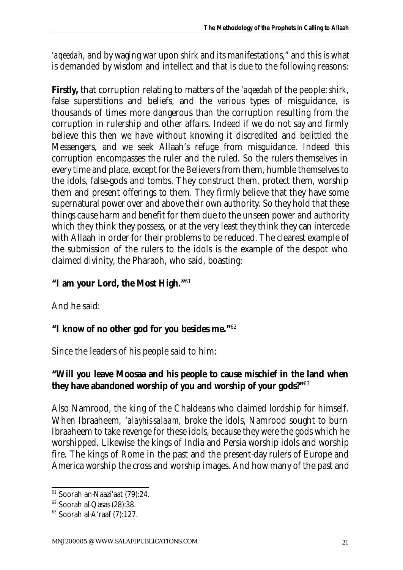*'aqeedah*, and by waging war upon *shirk* and its manifestations," and this is what is demanded by wisdom and intellect and that is due to the following reasons:

**Firstly,** that corruption relating to matters of the *'aqeedah* of the people: *shirk*, false superstitions and beliefs, and the various types of misguidance, is thousands of times more dangerous than the corruption resulting from the corruption in rulership and other affairs. Indeed if we do not say and firmly believe this then we have without knowing it discredited and belittled the Messengers, and we seek Allaah's refuge from misguidance. Indeed this corruption encompasses the ruler and the ruled. So the rulers themselves in every time and place, except for the Believers from them, humble themselves to the idols, false-gods and tombs. They construct them, protect them, worship them and present offerings to them. They firmly believe that they have some supernatural power over and above their own authority. So they hold that these things cause harm and benefit for them due to the unseen power and authority which they think they possess, or at the very least they think they can intercede with Allaah in order for their problems to be reduced. The clearest example of the submission of the rulers to the idols is the example of the despot who claimed divinity, the Pharaoh, who said, boasting:

## **"I am your Lord, the Most High."**<sup>61</sup>

And he said:

#### **"I know of no other god for you besides me."**<sup>62</sup>

Since the leaders of his people said to him:

#### **"Will you leave Moosaa and his people to cause mischief in the land when they have abandoned worship of you and worship of your gods?"**<sup>63</sup>

Also Namrood, the king of the Chaldeans who claimed lordship for himself. When Ibraaheem, *'alayhis-salaam,* broke the idols, Namrood sought to burn Ibraaheem to take revenge for these idols, because they were the gods which he worshipped. Likewise the kings of India and Persia worship idols and worship fire. The kings of Rome in the past and the present-day rulers of Europe and America worship the cross and worship images. And how many of the past and

l  $61$  Soorah an-Naazi'aat (79):24.

<sup>62</sup> Soorah al-Qasas (28):38.

 $63$  Soorah al-A'raaf (7):127.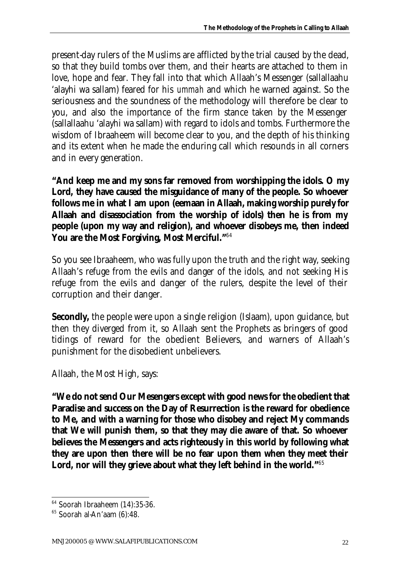present-day rulers of the Muslims are afflicted by the trial caused by the dead, so that they build tombs over them, and their hearts are attached to them in love, hope and fear. They fall into that which Allaah's Messenger (sallallaahu 'alayhi wa sallam) feared for his *ummah* and which he warned against. So the seriousness and the soundness of the methodology will therefore be clear to you, and also the importance of the firm stance taken by the Messenger (sallallaahu 'alayhi wa sallam) with regard to idols and tombs. Furthermore the wisdom of Ibraaheem will become clear to you, and the depth of his thinking and its extent when he made the enduring call which resounds in all corners and in every generation.

**"And keep me and my sons far removed from worshipping the idols. O my Lord, they have caused the misguidance of many of the people. So whoever follows me in what I am upon (***eemaan* **in Allaah, making worship purely for Allaah and disassociation from the worship of idols) then he is from my people (upon my way and religion), and whoever disobeys me, then indeed You are the Most Forgiving, Most Merciful."**<sup>64</sup>

So you see Ibraaheem, who was fully upon the truth and the right way, seeking Allaah's refuge from the evils and danger of the idols, and not seeking His refuge from the evils and danger of the rulers, despite the level of their corruption and their danger.

**Secondly,** the people were upon a single religion (Islaam), upon guidance, but then they diverged from it, so Allaah sent the Prophets as bringers of good tidings of reward for the obedient Believers, and warners of Allaah's punishment for the disobedient unbelievers.

Allaah, the Most High, says:

**"We do not send Our Mesengers except with good news for the obedient that Paradise and success on the Day of Resurrection is the reward for obedience to Me, and with a warning for those who disobey and reject My commands that We will punish them, so that they may die aware of that. So whoever believes the Messengers and acts righteously in this world by following what they are upon then there will be no fear upon them when they meet their Lord, nor will they grieve about what they left behind in the world."**<sup>65</sup>

 $64$  Soorah Ibraaheem (14):35-36.

 $65$  Soorah al-An'aam  $(6)$ :48.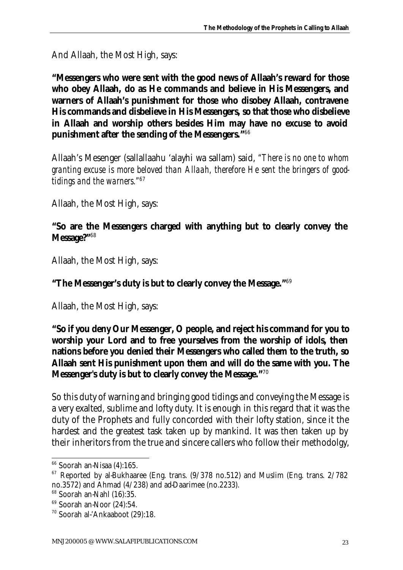And Allaah, the Most High, says:

**"Messengers who were sent with the good news of Allaah's reward for those who obey Allaah, do as He commands and believe in His Messengers, and warners of Allaah's punishment for those who disobey Allaah, contravene His commands and disbelieve in His Messengers, so that those who disbelieve in Allaah and worship others besides Him may have no excuse to avoid punishment after the sending of the Messengers."**<sup>66</sup>

Allaah's Mesenger (sallallaahu 'alayhi wa sallam) said, *"There is no one to whom granting excuse is more beloved than Allaah, therefore He sent the bringers of goodtidings and the warners."*<sup>67</sup>

Allaah, the Most High, says:

#### **"So are the Messengers charged with anything but to clearly convey the Message?"**<sup>68</sup>

Allaah, the Most High, says:

**"The Messenger's duty is but to clearly convey the Message."**<sup>69</sup>

Allaah, the Most High, says:

**"So if you deny Our Messenger, O people, and reject his command for you to worship your Lord and to free yourselves from the worship of idols, then nations before you denied their Messengers who called them to the truth, so Allaah sent His punishment upon them and will do the same with you. The Messenger's duty is but to clearly convey the Message."**<sup>70</sup>

So this duty of warning and bringing good tidings and conveying the Message is a very exalted, sublime and lofty duty. It is enough in this regard that it was the duty of the Prophets and fully concorded with their lofty station, since it the hardest and the greatest task taken up by mankind. It was then taken up by their inheritors from the true and sincere callers who follow their methodolgy,

<sup>66</sup> Soorah an-Nisaa (4):165.

 $67$  Reported by al-Bukhaaree (Eng. trans.  $(9/378$  no.512) and Muslim (Eng. trans.  $2/782$ no.3572) and Ahmad (4/238) and ad-Daarimee (no.2233).

<sup>68</sup> Soorah an-Nahl (16):35.

 $69$  Soorah an-Noor  $(24):54$ .

<sup>70</sup> Soorah al-'Ankaaboot (29):18.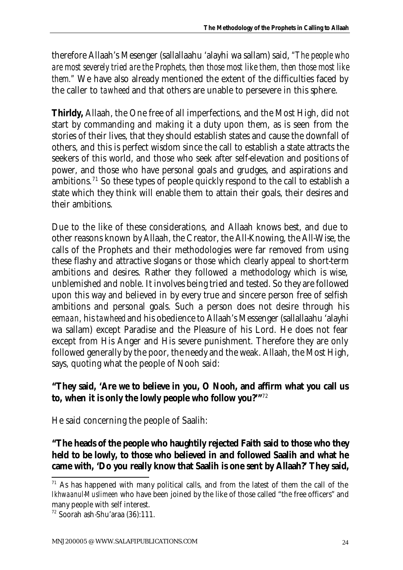therefore Allaah's Mesenger (sallallaahu 'alayhi wa sallam) said, *"The people who are most severely tried are the Prophets, then those most like them, then those most like them."* We have also already mentioned the extent of the difficulties faced by the caller to *tawheed* and that others are unable to persevere in this sphere.

**Thirldy,** Allaah, the One free of all imperfections, and the Most High, did not start by commanding and making it a duty upon them, as is seen from the stories of their lives, that they should establish states and cause the downfall of others, and this is perfect wisdom since the call to establish a state attracts the seekers of this world, and those who seek after self-elevation and positions of power, and those who have personal goals and grudges, and aspirations and ambitions.<sup>71</sup> So these types of people quickly respond to the call to establish a state which they think will enable them to attain their goals, their desires and their ambitions.

Due to the like of these considerations, and Allaah knows best, and due to other reasons known by Allaah, the Creator, the All-Knowing, the All-Wise, the calls of the Prophets and their methodologies were far removed from using these flashy and attractive slogans or those which clearly appeal to short-term ambitions and desires. Rather they followed a methodology which is wise, unblemished and noble. It involves being tried and tested. So they are followed upon this way and believed in by every true and sincere person free of selfish ambitions and personal goals. Such a person does not desire through his *eemaan*, his *tawheed* and his obedience to Allaah's Messenger (sallallaahu 'alayhi wa sallam) except Paradise and the Pleasure of his Lord. He does not fear except from His Anger and His severe punishment. Therefore they are only followed generally by the poor, the needy and the weak. Allaah, the Most High, says, quoting what the people of Nooh said:

#### **"They said, 'Are we to believe in you, O Nooh, and affirm what you call us to, when it is only the lowly people who follow you?'"**<sup>72</sup>

He said concerning the people of Saalih:

**"The heads of the people who haughtily rejected Faith said to those who they held to be lowly, to those who believed in and followed Saalih and what he came with, 'Do you really know that Saalih is one sent by Allaah?' They said,** 

 $<sup>71</sup>$  As has happened with many political calls, and from the latest of them the call of the</sup> *Ikhwaanul-Muslimeen* who have been joined by the like of those called "the free officers" and many people with self interest.

<sup>72</sup> Soorah ash-Shu'araa (36):111.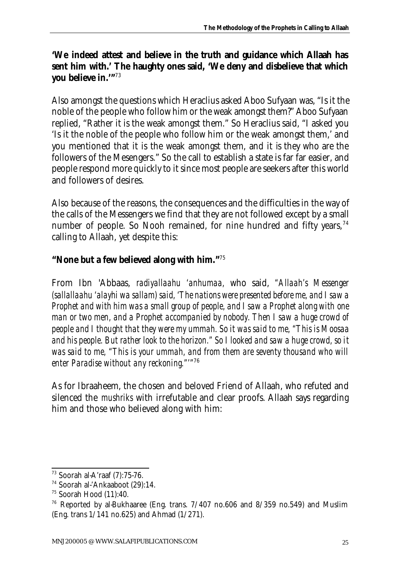#### **'We indeed attest and believe in the truth and guidance which Allaah has sent him with.' The haughty ones said, 'We deny and disbelieve that which you believe in.'"**<sup>73</sup>

Also amongst the questions which Heraclius asked Aboo Sufyaan was, "Is it the noble of the people who follow him or the weak amongst them?" Aboo Sufyaan replied, "Rather it is the weak amongst them." So Heraclius said, "I asked you 'Is it the noble of the people who follow him or the weak amongst them,' and you mentioned that it is the weak amongst them, and it is they who are the followers of the Mesengers." So the call to establish a state is far far easier, and people respond more quickly to it since most people are seekers after this world and followers of desires.

Also because of the reasons, the consequences and the difficulties in the way of the calls of the Messengers we find that they are not followed except by a small number of people. So Nooh remained, for nine hundred and fifty years,  $74$ calling to Allaah, yet despite this:

### **"None but a few believed along with him."**<sup>75</sup>

From Ibn 'Abbaas, *radiyallaahu 'anhumaa,* who said, *"Allaah's Messenger (sallallaahu 'alayhi wa sallam) said, 'The nations were presented before me, and I saw a Prophet and with him was a small group of people, and I saw a Prophet along with one man or two men, and a Prophet accompanied by nobody. Then I saw a huge crowd of people and I thought that they were my ummah. So it was said to me, "This is Moosaa and his people. But rather look to the horizon." So I looked and saw a huge crowd, so it was said to me, "This is your ummah, and from them are seventy thousand who will enter Paradise without any reckoning."'"*<sup>76</sup>

As for Ibraaheem, the chosen and beloved Friend of Allaah, who refuted and silenced the *mushriks* with irrefutable and clear proofs. Allaah says regarding him and those who believed along with him:

l <sup>73</sup> Soorah al-A'raaf (7):75-76.

<sup>&</sup>lt;sup>74</sup> Soorah al-'Ankaaboot (29):14.

 $75$  Soorah Hood  $(11):40$ .

<sup>&</sup>lt;sup>76</sup> Reported by al-Bukhaaree (Eng. trans.  $7/407$  no.606 and  $8/359$  no.549) and Muslim (Eng. trans 1/141 no.625) and Ahmad (1/271).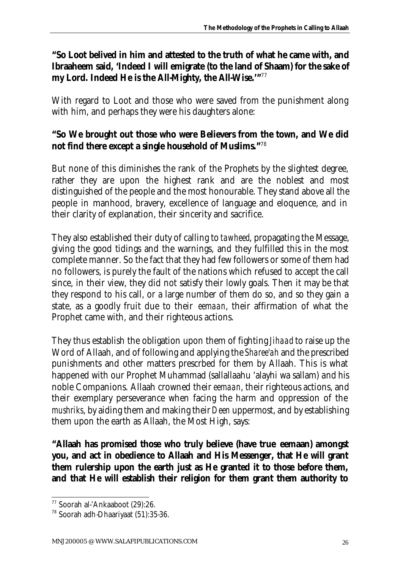#### **"So Loot belived in him and attested to the truth of what he came with, and Ibraaheem said, 'Indeed I will emigrate (to the land of** *Shaam***) for the sake of my Lord. Indeed He is the All-Mighty, the All-Wise.'"**<sup>77</sup>

With regard to Loot and those who were saved from the punishment along with him, and perhaps they were his daughters alone:

#### **"So We brought out those who were Believers from the town, and We did not find there except a single household of Muslims."**<sup>78</sup>

But none of this diminishes the rank of the Prophets by the slightest degree, rather they are upon the highest rank and are the noblest and most distinguished of the people and the most honourable. They stand above all the people in manhood, bravery, excellence of language and eloquence, and in their clarity of explanation, their sincerity and sacrifice.

They also established their duty of calling to *tawheed*, propagating the Message, giving the good tidings and the warnings, and they fulfilled this in the most complete manner. So the fact that they had few followers or some of them had no followers, is purely the fault of the nations which refused to accept the call since, in their view, they did not satisfy their lowly goals. Then it may be that they respond to his call, or a large number of them do so, and so they gain a state, as a goodly fruit due to their *eemaan*, their affirmation of what the Prophet came with, and their righteous actions.

They thus establish the obligation upon them of fighting *Jihaad* to raise up the Word of Allaah, and of following and applying the *Sharee'ah* and the prescribed punishments and other matters prescrbed for them by Allaah. This is what happened with our Prophet Muhammad (sallallaahu 'alayhi wa sallam) and his noble Companions. Allaah crowned their *eemaan*, their righteous actions, and their exemplary perseverance when facing the harm and oppression of the *mushriks*, by aiding them and making their *Deen* uppermost, and by establishing them upon the earth as Allaah, the Most High, says:

**"Allaah has promised those who truly believe (have true** *eemaan***) amongst you, and act in obedience to Allaah and His Messenger, that He will grant them rulership upon the earth just as He granted it to those before them, and that He will establish their religion for them grant them authority to** 

<sup>77</sup> Soorah al-'Ankaaboot (29):26.

<sup>78</sup> Soorah adh-Dhaariyaat (51):35-36.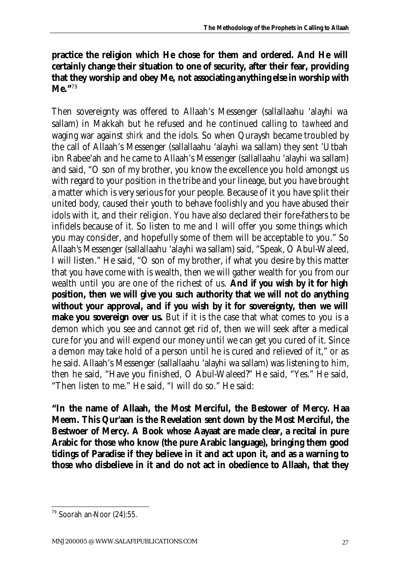#### **practice the religion which He chose for them and ordered. And He will certainly change their situation to one of security, after their fear, providing that they worship and obey Me, not associating anything else in worship with Me."**<sup>79</sup>

Then sovereignty was offered to Allaah's Messenger (sallallaahu 'alayhi wa sallam) in Makkah but he refused and he continued calling to *tawheed* and waging war against *shirk* and the idols. So when Quraysh became troubled by the call of Allaah's Messenger (sallallaahu 'alayhi wa sallam) they sent 'Utbah ibn Rabee'ah and he came to Allaah's Messenger (sallallaahu 'alayhi wa sallam) and said, "O son of my brother, you know the excellence you hold amongst us with regard to your position in the tribe and your lineage, but you have brought a matter which is very serious for your people. Because of it you have split their united body, caused their youth to behave foolishly and you have abused their idols with it, and their religion. You have also declared their fore-fathers to be infidels because of it. So listen to me and I will offer you some things which you may consider, and hopefully some of them will be acceptable to you." So Allaah's Messenger (sallallaahu 'alayhi wa sallam) said, "Speak, O Abul-Waleed, I will listen." He said, "O son of my brother, if what you desire by this matter that you have come with is wealth, then we will gather wealth for you from our wealth until you are one of the richest of us. **And if you wish by it for high position, then we will give you such authority that we will not do anything without your approval, and if you wish by it for sovereignty, then we will make you sovereign over us.** But if it is the case that what comes to you is a demon which you see and cannot get rid of, then we will seek after a medical cure for you and will expend our money until we can get you cured of it. Since a demon may take hold of a person until he is cured and relieved of it," or as he said. Allaah's Messenger (sallallaahu 'alayhi wa sallam) was listening to him, then he said, "Have you finished, O Abul-Waleed?" He said, "Yes." He said, "Then listen to me." He said, "I will do so." He said:

**"In the name of Allaah, the Most Merciful, the Bestower of Mercy.** *Haa Meem***. This Qur'aan is the Revelation sent down by the Most Merciful, the Bestwoer of Mercy. A Book whose** *Aayaat* **are made clear, a recital in pure Arabic for those who know (the pure Arabic language), bringing them good tidings of Paradise if they believe in it and act upon it, and as a warning to those who disbelieve in it and do not act in obedience to Allaah, that they** 

 $\overline{a}$ 

<sup>79</sup> Soorah an-Noor (24):55.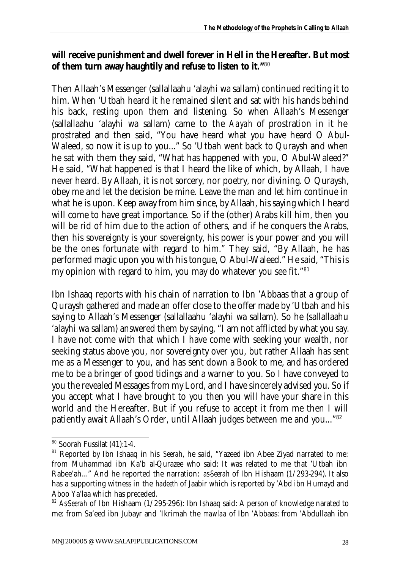#### **will receive punishment and dwell forever in Hell in the Hereafter. But most of them turn away haughtily and refuse to listen to it."** 80

Then Allaah's Messenger (sallallaahu 'alayhi wa sallam) continued reciting it to him. When 'Utbah heard it he remained silent and sat with his hands behind his back, resting upon them and listening. So when Allaah's Messenger (sallallaahu 'alayhi wa sallam) came to the *Aayah* of prostration in it he prostrated and then said, "You have heard what you have heard O Abul-Waleed, so now it is up to you..." So 'Utbah went back to Quraysh and when he sat with them they said, "What has happened with you, O Abul-Waleed?" He said, "What happened is that I heard the like of which, by Allaah, I have never heard. By Allaah, it is not sorcery, nor poetry, nor divining. O Quraysh, obey me and let the decision be mine. Leave the man and let him continue in what he is upon. Keep away from him since, by Allaah, his saying which I heard will come to have great importance. So if the (other) Arabs kill him, then you will be rid of him due to the action of others, and if he conquers the Arabs, then his sovereignty is your sovereignty, his power is your power and you will be the ones fortunate with regard to him." They said, "By Allaah, he has performed magic upon you with his tongue, O Abul-Waleed." He said, "This is my opinion with regard to him, you may do whatever you see fit."<sup>81</sup>

Ibn Ishaaq reports with his chain of narration to Ibn 'Abbaas that a group of Quraysh gathered and made an offer close to the offer made by 'Utbah and his saying to Allaah's Messenger (sallallaahu 'alayhi wa sallam). So he (sallallaahu 'alayhi wa sallam) answered them by saying, "I am not afflicted by what you say. I have not come with that which I have come with seeking your wealth, nor seeking status above you, nor sovereignty over you, but rather Allaah has sent me as a Messenger to you, and has sent down a Book to me, and has ordered me to be a bringer of good tidings and a warner to you. So I have conveyed to you the revealed Messages from my Lord, and I have sincerely advised you. So if you accept what I have brought to you then you will have your share in this world and the Hereafter. But if you refuse to accept it from me then I will patiently await Allaah's Order, until Allaah judges between me and you..."<sup>82</sup>

l <sup>80</sup> Soorah Fussilat (41):1-4.

<sup>81</sup> Reported by Ibn Ishaaq in his *Seerah*, he said, "Yazeed ibn Abee Ziyad narrated to me: from Muhammad ibn Ka'b al-Qurazee who said: It was related to me that 'Utbah ibn Rabee'ah..." And he reported the narration: *as-Seerah* of Ibn Hishaam (1/293-294). It also has a supporting witness in the *hadeeth* of Jaabir which is reported by 'Abd ibn Humayd and Aboo Ya'laa which has preceded.

<sup>&</sup>lt;sup>82</sup> As-Seerah of Ibn Hishaam (1/295-296): Ibn Ishaaq said: A person of knowledge narated to me: from Sa'eed ibn Jubayr and 'Ikrimah the *mawlaa* of Ibn 'Abbaas: from 'Abdullaah ibn